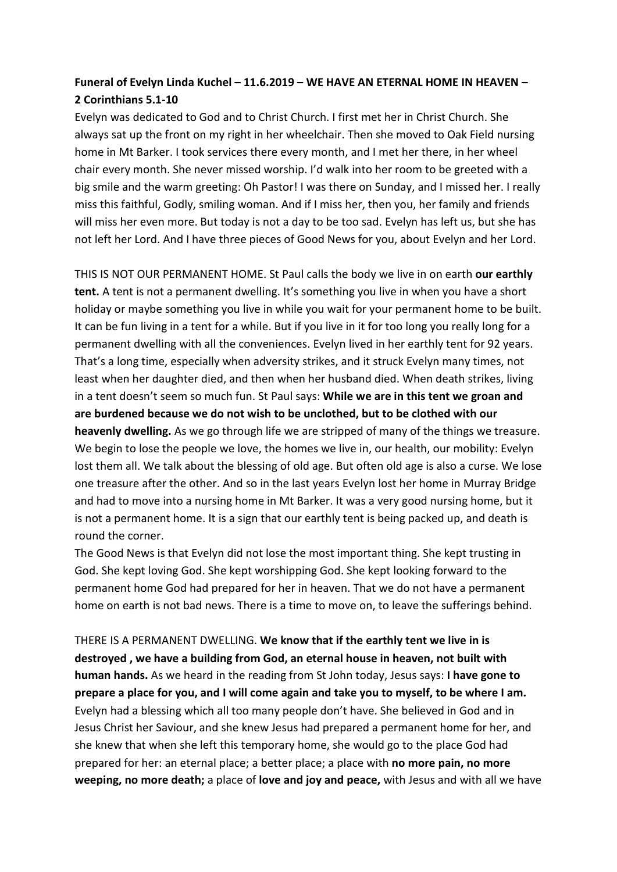## **Funeral of Evelyn Linda Kuchel – 11.6.2019 – WE HAVE AN ETERNAL HOME IN HEAVEN – 2 Corinthians 5.1-10**

Evelyn was dedicated to God and to Christ Church. I first met her in Christ Church. She always sat up the front on my right in her wheelchair. Then she moved to Oak Field nursing home in Mt Barker. I took services there every month, and I met her there, in her wheel chair every month. She never missed worship. I'd walk into her room to be greeted with a big smile and the warm greeting: Oh Pastor! I was there on Sunday, and I missed her. I really miss this faithful, Godly, smiling woman. And if I miss her, then you, her family and friends will miss her even more. But today is not a day to be too sad. Evelyn has left us, but she has not left her Lord. And I have three pieces of Good News for you, about Evelyn and her Lord.

THIS IS NOT OUR PERMANENT HOME. St Paul calls the body we live in on earth **our earthly tent.** A tent is not a permanent dwelling. It's something you live in when you have a short holiday or maybe something you live in while you wait for your permanent home to be built. It can be fun living in a tent for a while. But if you live in it for too long you really long for a permanent dwelling with all the conveniences. Evelyn lived in her earthly tent for 92 years. That's a long time, especially when adversity strikes, and it struck Evelyn many times, not least when her daughter died, and then when her husband died. When death strikes, living in a tent doesn't seem so much fun. St Paul says: **While we are in this tent we groan and are burdened because we do not wish to be unclothed, but to be clothed with our heavenly dwelling.** As we go through life we are stripped of many of the things we treasure. We begin to lose the people we love, the homes we live in, our health, our mobility: Evelyn lost them all. We talk about the blessing of old age. But often old age is also a curse. We lose one treasure after the other. And so in the last years Evelyn lost her home in Murray Bridge and had to move into a nursing home in Mt Barker. It was a very good nursing home, but it is not a permanent home. It is a sign that our earthly tent is being packed up, and death is round the corner.

The Good News is that Evelyn did not lose the most important thing. She kept trusting in God. She kept loving God. She kept worshipping God. She kept looking forward to the permanent home God had prepared for her in heaven. That we do not have a permanent home on earth is not bad news. There is a time to move on, to leave the sufferings behind.

THERE IS A PERMANENT DWELLING. **We know that if the earthly tent we live in is destroyed , we have a building from God, an eternal house in heaven, not built with human hands.** As we heard in the reading from St John today, Jesus says: **I have gone to prepare a place for you, and I will come again and take you to myself, to be where I am.**  Evelyn had a blessing which all too many people don't have. She believed in God and in Jesus Christ her Saviour, and she knew Jesus had prepared a permanent home for her, and she knew that when she left this temporary home, she would go to the place God had prepared for her: an eternal place; a better place; a place with **no more pain, no more weeping, no more death;** a place of **love and joy and peace,** with Jesus and with all we have